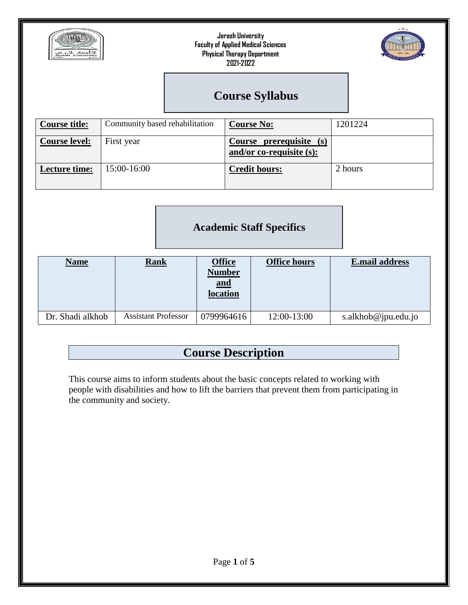



# **Course Syllabus**

| <b>Course title:</b> | Community based rehabilitation | <b>Course No:</b>                                   | 1201224 |
|----------------------|--------------------------------|-----------------------------------------------------|---------|
| <b>Course level:</b> | First year                     | Course prerequisite (s)<br>and/or co-requisite (s): |         |
| Lecture time:        | 15:00-16:00                    | <b>Credit hours:</b>                                | 2 hours |

## **Academic Staff Specifics**

| <u>Name</u>      | <u>Rank</u>                | <b>Office</b><br><b>Number</b><br><u>and</u><br>location | <b>Office hours</b> | <b>E.mail address</b> |
|------------------|----------------------------|----------------------------------------------------------|---------------------|-----------------------|
| Dr. Shadi alkhob | <b>Assistant Professor</b> | 0799964616                                               | 12:00-13:00         | s.alkhob@jpu.edu.jo   |

## **Course Description**

This course aims to inform students about the basic concepts related to working with people with disabilities and how to lift the barriers that prevent them from participating in the community and society.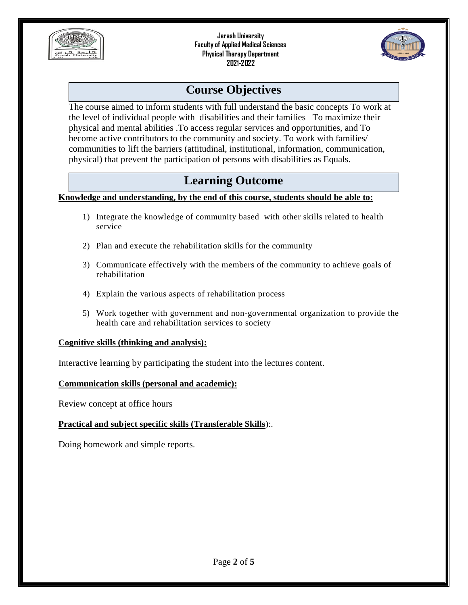



## **Course Objectives**

The course aimed to inform students with full understand the basic concepts To work at the level of individual people with disabilities and their families –To maximize their physical and mental abilities .To access regular services and opportunities, and To become active contributors to the community and society. To work with families/ communities to lift the barriers (attitudinal, institutional, information, communication, physical) that prevent the participation of persons with disabilities as Equals.

## **Learning Outcome**

#### **Knowledge and understanding, by the end of this course, students should be able to:**

- 1) Integrate the knowledge of community based with other skills related to health service
- 2) Plan and execute the rehabilitation skills for the community
- 3) Communicate effectively with the members of the community to achieve goals of rehabilitation
- 4) Explain the various aspects of rehabilitation process
- 5) Work together with government and non-governmental organization to provide the health care and rehabilitation services to society

#### **Cognitive skills (thinking and analysis):**

Interactive learning by participating the student into the lectures content.

#### **Communication skills (personal and academic):**

Review concept at office hours

#### **Practical and subject specific skills (Transferable Skills**):.

Doing homework and simple reports.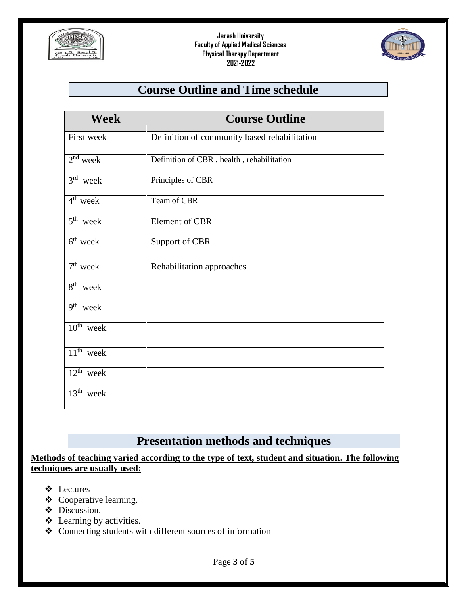



## **Course Outline and Time schedule**

| <b>Week</b>                        | <b>Course Outline</b>                        |
|------------------------------------|----------------------------------------------|
| First week                         | Definition of community based rehabilitation |
| $\overline{2}^{\text{nd}}$ week    | Definition of CBR, health, rehabilitation    |
| $3rd$ week                         | Principles of CBR                            |
| $4th$ week                         | Team of CBR                                  |
| $\overline{5^{th}}$ week           | Element of CBR                               |
| $\overline{6}$ <sup>th</sup> week  | Support of CBR                               |
| $\overline{7}^{\text{th}}$ week    | Rehabilitation approaches                    |
| $8th$ week                         |                                              |
| $\overline{9^{th}}$ week           |                                              |
| $\overline{10}^{\text{th}}$ week   |                                              |
| $11th$ week                        |                                              |
| $\overline{12}$ <sup>th</sup> week |                                              |
| $13th$ week                        |                                              |

### **Presentation methods and techniques**

**Methods of teaching varied according to the type of text, student and situation. The following techniques are usually used:**

- Lectures
- Cooperative learning.
- $\div$  Discussion.
- $\triangle$  Learning by activities.
- Connecting students with different sources of information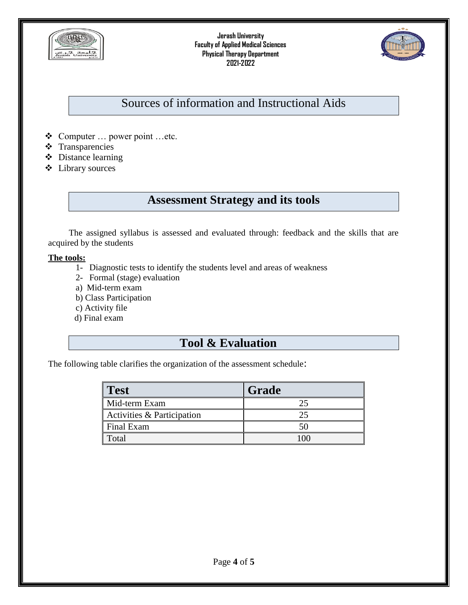



## Sources of information and Instructional Aids

- Computer … power point …etc.
- **❖** Transparencies
- Distance learning
- Library sources

## **Assessment Strategy and its tools**

The assigned syllabus is assessed and evaluated through: feedback and the skills that are acquired by the students

#### **The tools:**

- 1- Diagnostic tests to identify the students level and areas of weakness
- 2- Formal (stage) evaluation
- a) Mid-term exam
- b) Class Participation
- c) Activity file
- d) Final exam

### **Tool & Evaluation**

The following table clarifies the organization of the assessment schedule:

| Test                       | Grade |
|----------------------------|-------|
| Mid-term Exam              |       |
| Activities & Participation |       |
| Final Exam                 |       |
| Total                      |       |